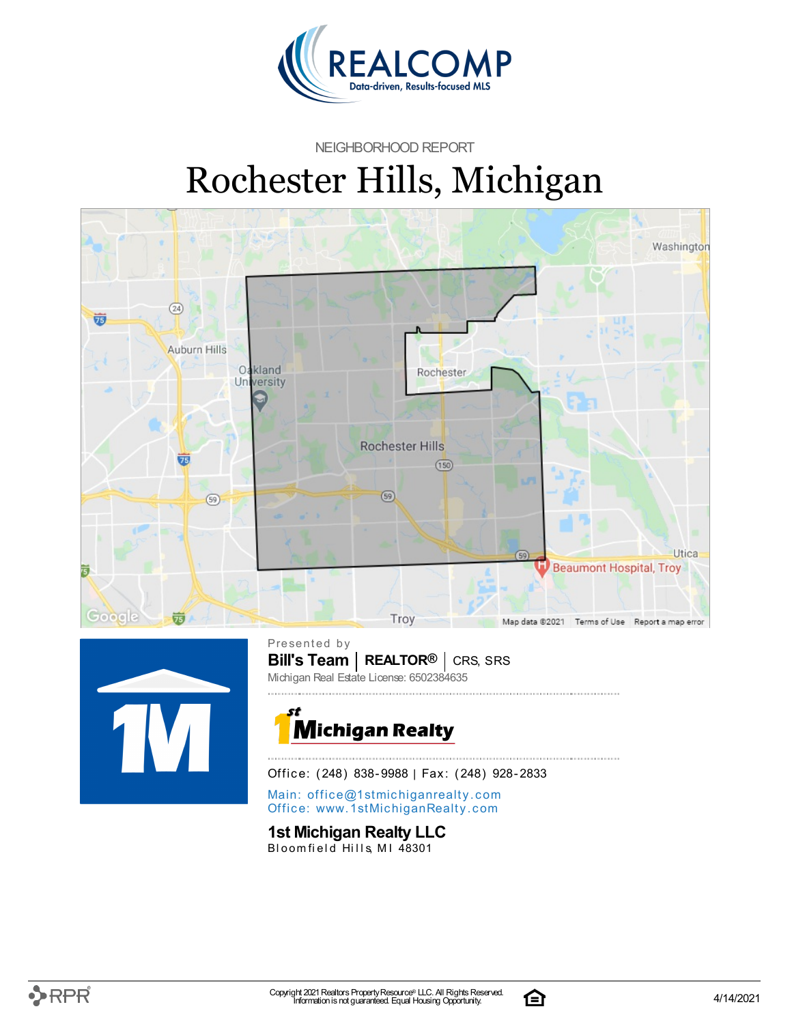

#### NEIGHBORHOOD REPORT

# Rochester Hills, Michigan





**Bill's Team** | REALTOR<sup>®</sup> | CRS, SRS Presented by Michigan Real Estate License: 6502384635



Office: (248) 838-9988 | Fax: (248) 928-2833

Main: o[ffi](mailto:office@1stmichiganrealty.com)ce@1stmichiganrealty.com Office: [www.](https://www.1stmichiganrealty.com/)1stMichiganRealty.com

### **1st Michigan Realty LLC**

Bloomfield Hills, MI 48301

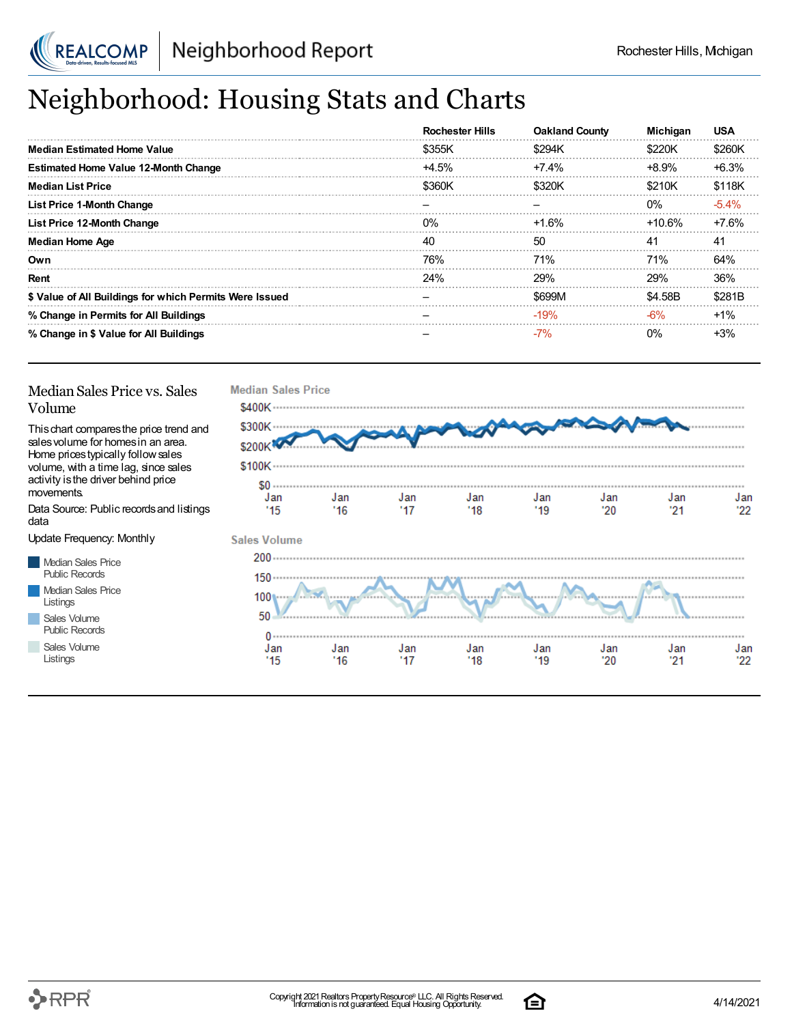

# Neighborhood: Housing Stats and Charts

|                                                         | <b>Rochester Hills</b> | <b>Oakland County</b> | <b>Michigan</b> | <b>USA</b> |
|---------------------------------------------------------|------------------------|-----------------------|-----------------|------------|
| Median Estimated Home Value                             | \$355K                 | \$294K                | \$220K          | \$260K     |
| <b>Estimated Home Value 12-Month Change</b>             | $+4.5%$                | $+7.4\%$              | +8.9%           | $+6.3%$    |
| <b>Median List Price</b>                                | \$360K                 | \$320K                | \$210K          | \$118K     |
| <b>List Price 1-Month Change</b>                        |                        |                       | $0\%$           | $-5.4\%$   |
| List Price 12-Month Change                              | $0\%$                  | +1.6%                 | $+10.6\%$       | $+7.6%$    |
| <b>Median Home Age</b>                                  | 40                     | 50                    | 41              | 41         |
| Own                                                     | 76%                    | 71%                   | 71%             | 64%        |
| Rent                                                    | 24%                    | 29%                   | <b>29%</b>      | 36%        |
| \$ Value of All Buildings for which Permits Were Issued |                        | \$699M                | \$4.58B         | \$281B     |
| % Change in Permits for All Buildings                   |                        | $-19%$                | $-6%$           | $+1%$      |
| % Change in \$ Value for All Buildings                  |                        | $-7%$                 | $0\%$           | +3%        |

#### Median Sales Price vs. Sales Volume

Thischart comparesthe price trend and salesvolume for homesin an area. Home pricestypically followsales volume, with a time lag, since sales activity isthe driver behind price movements.

Data Source: Public recordsand listings data

Update Frequency: Monthly

Median Sales Price Public Records Median Sales Price Listings Sales Volume

Public Records

Sales Volume Listings



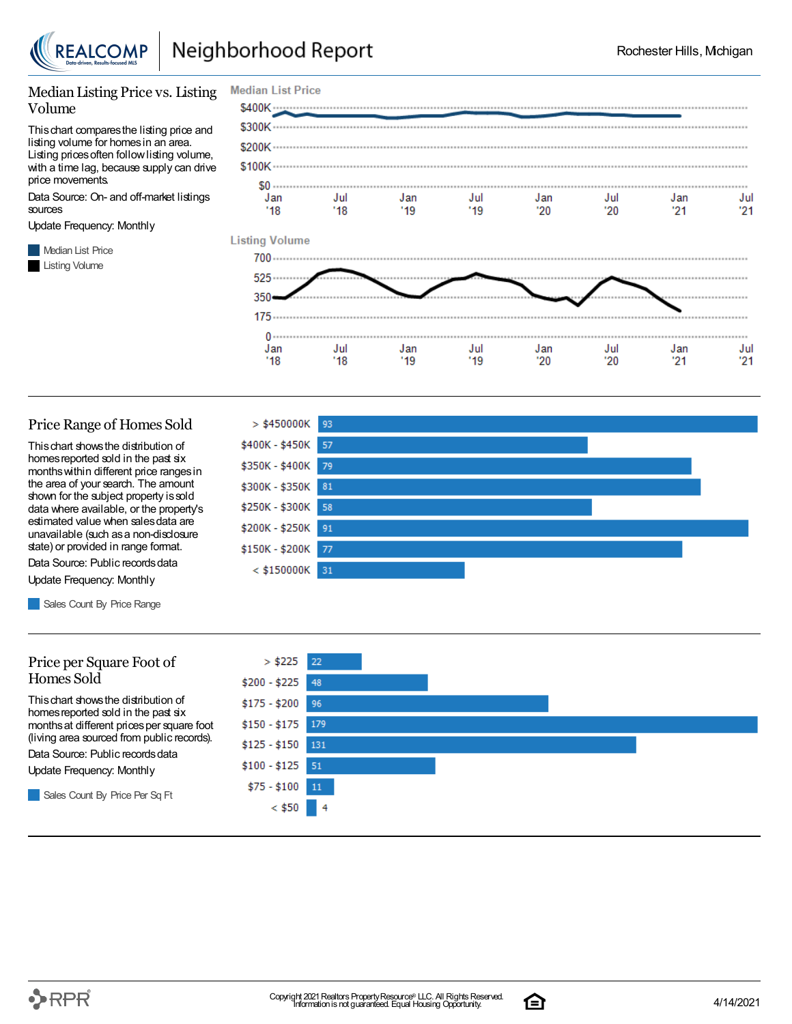

#### Median Listing Price vs. Listing Volume

Thischart comparesthe listing price and listing volume for homesin an area. Listing prices often follow listing volume, with a time lag, because supply can drive price movements.

Data Source: On- and off-market listings sources

Update Frequency: Monthly

**Median List Price** Listing Volume



#### Price Range of Homes Sold

Thischart showsthe distribution of homes reported sold in the past six monthswithin different price rangesin the area of your search. The amount shown for the subject property issold data where available, or the property's estimated value when salesdata are unavailable (such asa non-disclosure state) or provided in range format.

Data Source: Public records data Update Frequency: Monthly

Sales Count By Price Range

#### Price per Square Foot of Homes Sold

Thischart showsthe distribution of homes reported sold in the past six monthsat different pricesper square foot (living area sourced from public records).

Data Source: Public records data

Update Frequency: Monthly

Sales Count By Price Per Sq Ft





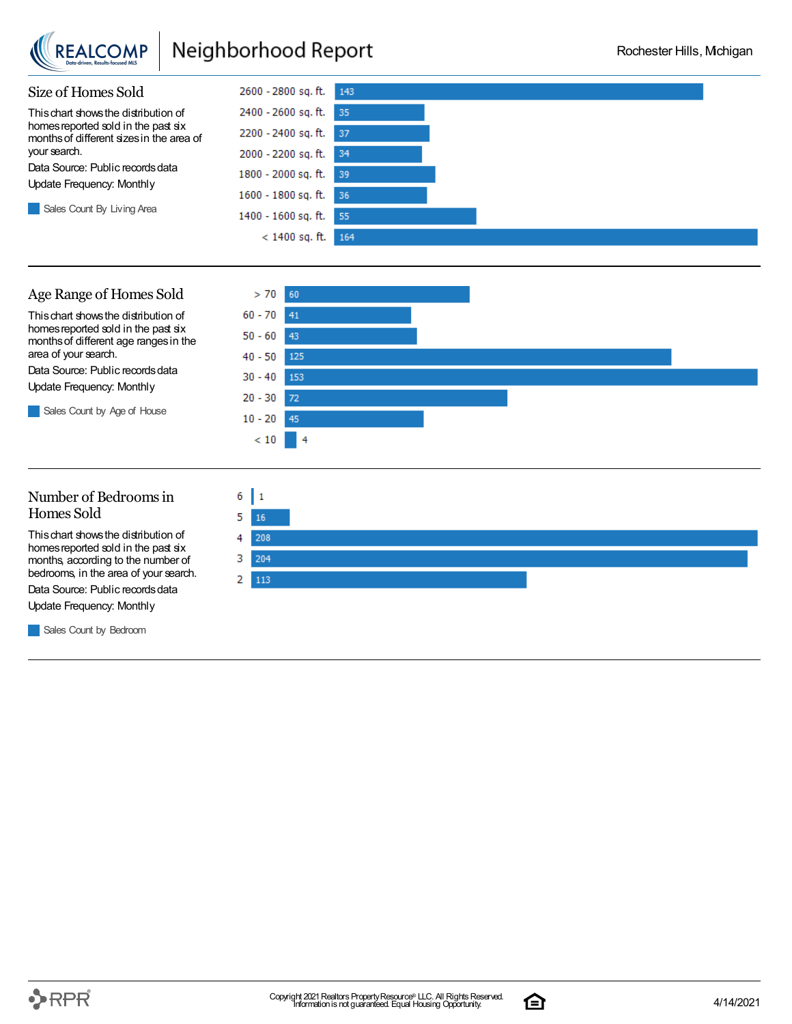

## Neighborhood Report



### Age Range of Homes Sold

Thischart showsthe distribution of homes reported sold in the past six monthsof different age rangesin the area of your search.

Data Source: Public records data Update Frequency: Monthly

Sales Count by Age of House



### Number of Bedroomsin Homes Sold

Thischart showsthe distribution of homes reported sold in the past six months, according to the number of bedrooms, in the area of your search.

Data Source: Public records data

Update Frequency: Monthly

**Sales Count by Bedroom** 



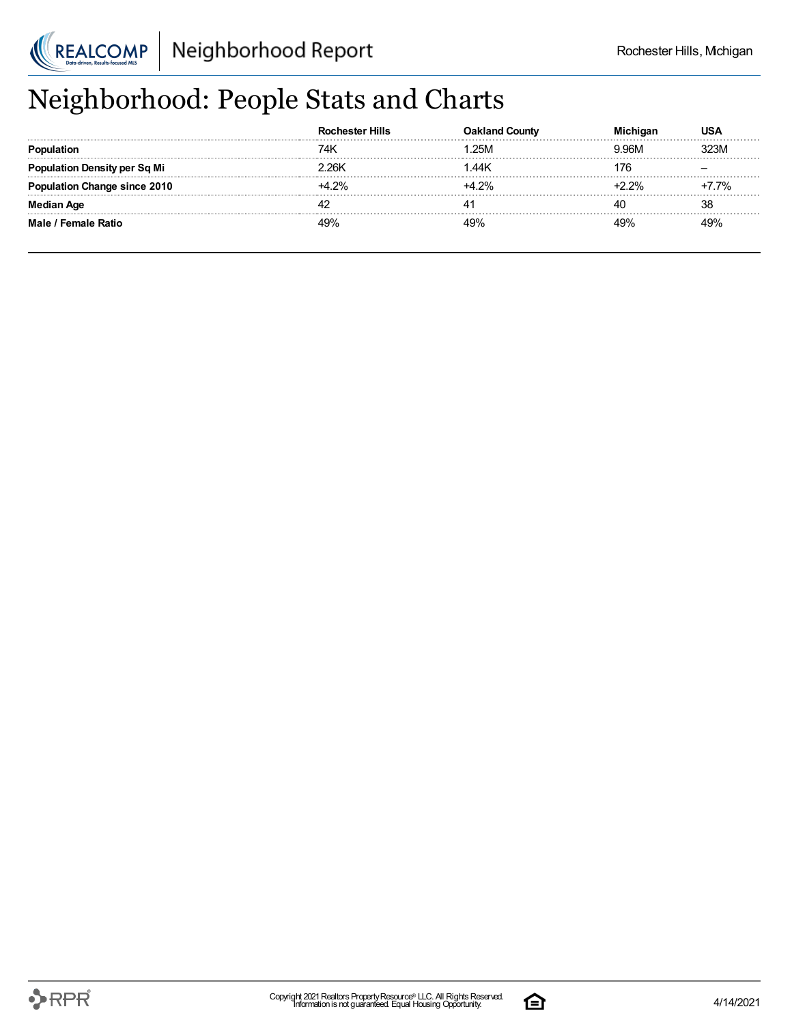

# Neighborhood: People Stats and Charts

|                                     | chester Hills | Count |        | 'JSA  |
|-------------------------------------|---------------|-------|--------|-------|
|                                     | 74k           | 25M   | 3.96M  |       |
| <b>Population Density per Sq Mi</b> | ' 26K         | .44K  | 176    |       |
| <b>Population Change since 2010</b> | $+4.2%$       |       | $-22%$ | +7.7% |
| <b>Median Age</b>                   |               |       | 40     | 38    |
| Male / Female Ratio                 | 49%           |       |        | 100/  |

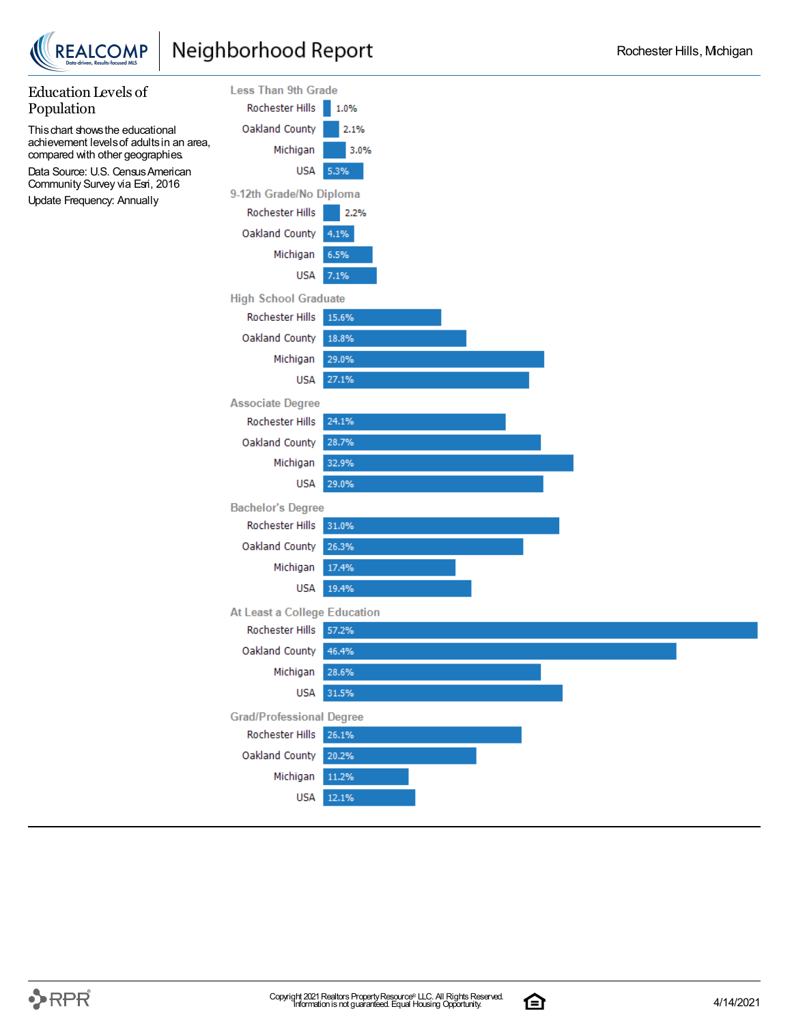



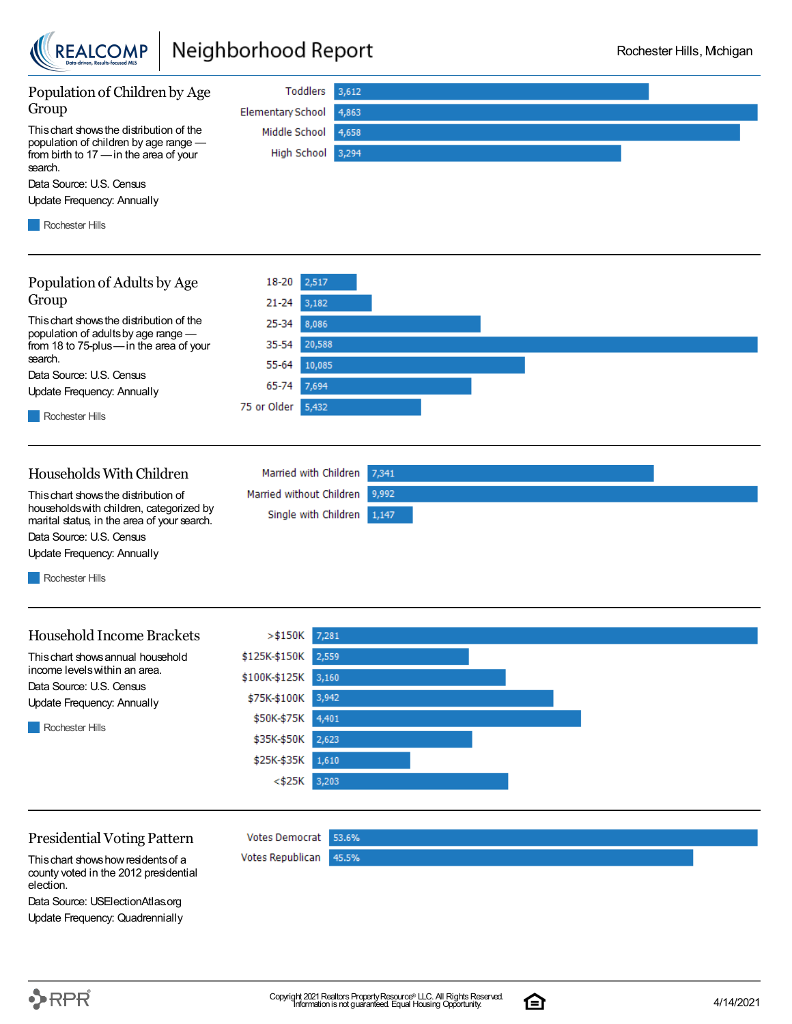

## Neighborhood Report



Thischart showshowresidentsof a county voted in the 2012 presidential election.

Data Source: USElectionAtlas.org Update Frequency: Quadrennially

 $\rightarrow$ RPR $^{\circ}$ 

Copyright 2021 Realtors Property Resource® LLC. All Rights Reserved.<br>
Information is not guaranteed. Equal Housing Opportunity. **1988 Contract Contract Contract Contract Contract Cont** 

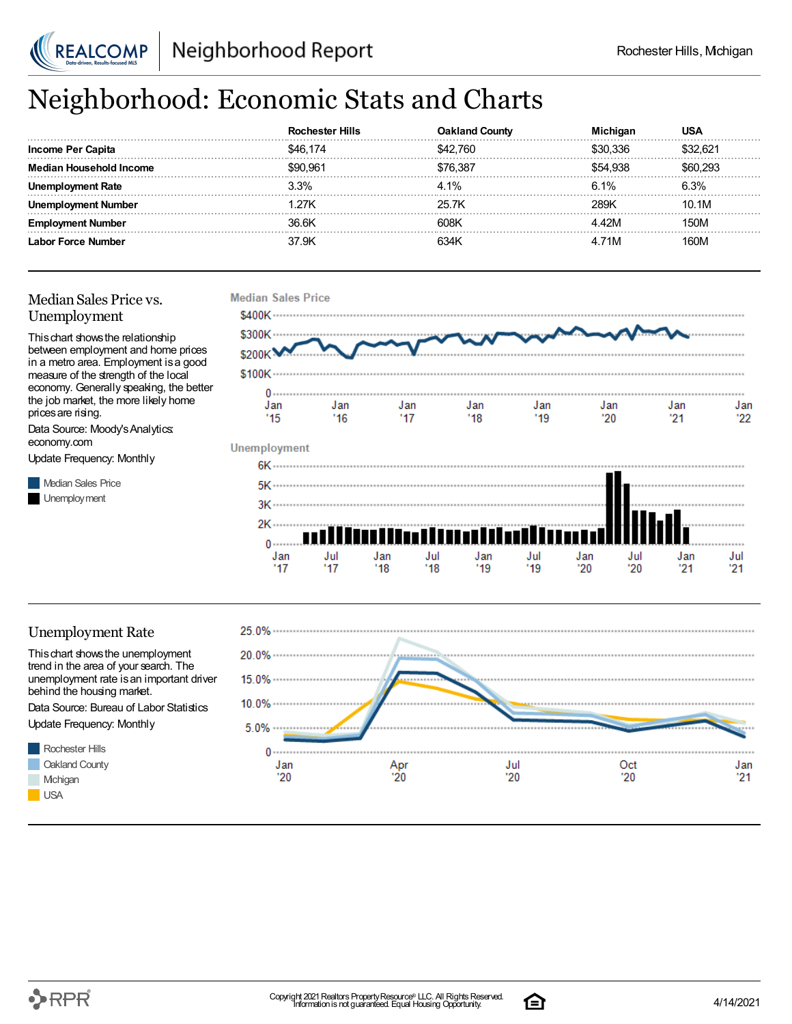

## Neighborhood: Economic Stats and Charts

|                         | :hester Hills<br><b>ROC</b> | שα⊔o        | Michigan | USA      |
|-------------------------|-----------------------------|-------------|----------|----------|
| Income Per Capita       | \$46.174                    | 760         | 336      | \$32 R21 |
| Median Household Income | \$90.961                    | \$76.387    |          | \$60.293 |
| ovment Rate             | 3.3%                        | $4.1\%$     | 6.1%     | $6.3\%$  |
| . Number                | 27K                         | 25 7K       | 28.9K    | 10.1M    |
| . Number                | 36.6K                       | 608K        |          | 150M     |
| <b>Force Number</b>     | 37 9K                       | <b>S34k</b> | 71M      | 160M     |

### Median Sales Price vs. Unemployment

Thischart showsthe relationship between employment and home prices in a metro area. Employment isa good measure of the strength of the local economy. Generally speaking, the better the job market, the more likely home prices are rising.

Data Source: Moody'sAnalytics: economy.com

Update Frequency: Monthly

**Median Sales Price** Unemployment



### Unemployment Rate

Thischart showsthe unemployment trend in the area of your search. The unemployment rate is an important driver behind the housing market.

Data Source: Bureau of Labor Statistics Update Frequency: Monthly





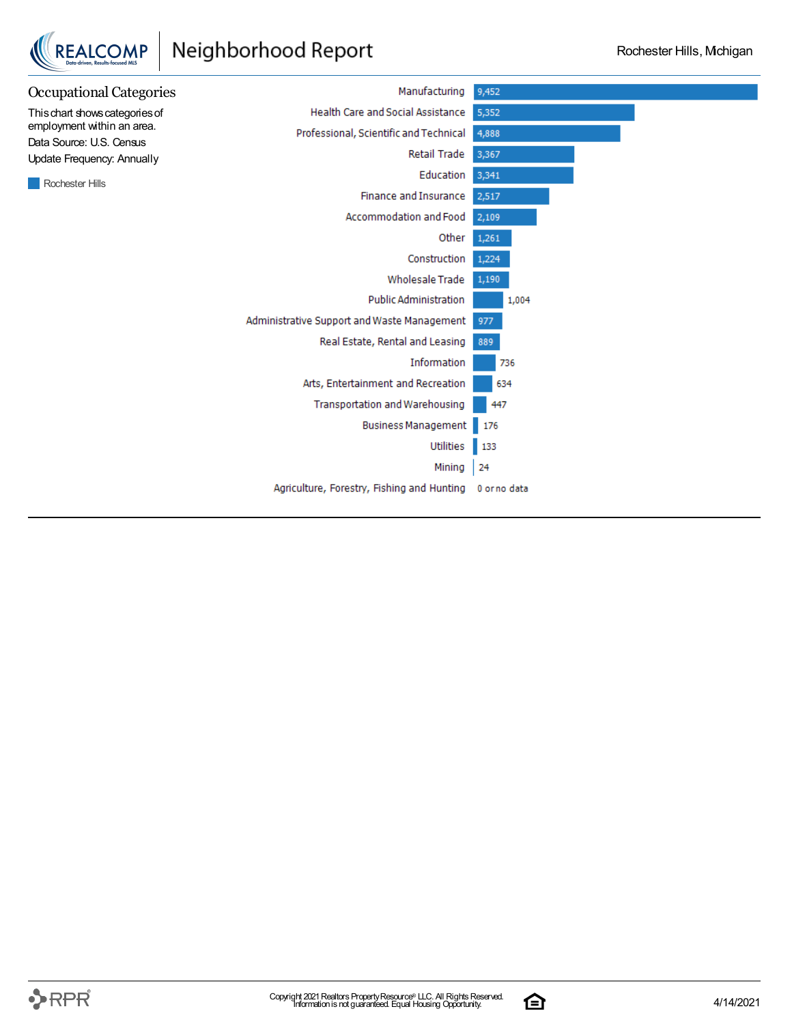## Neighborhood Report

REALCOMP



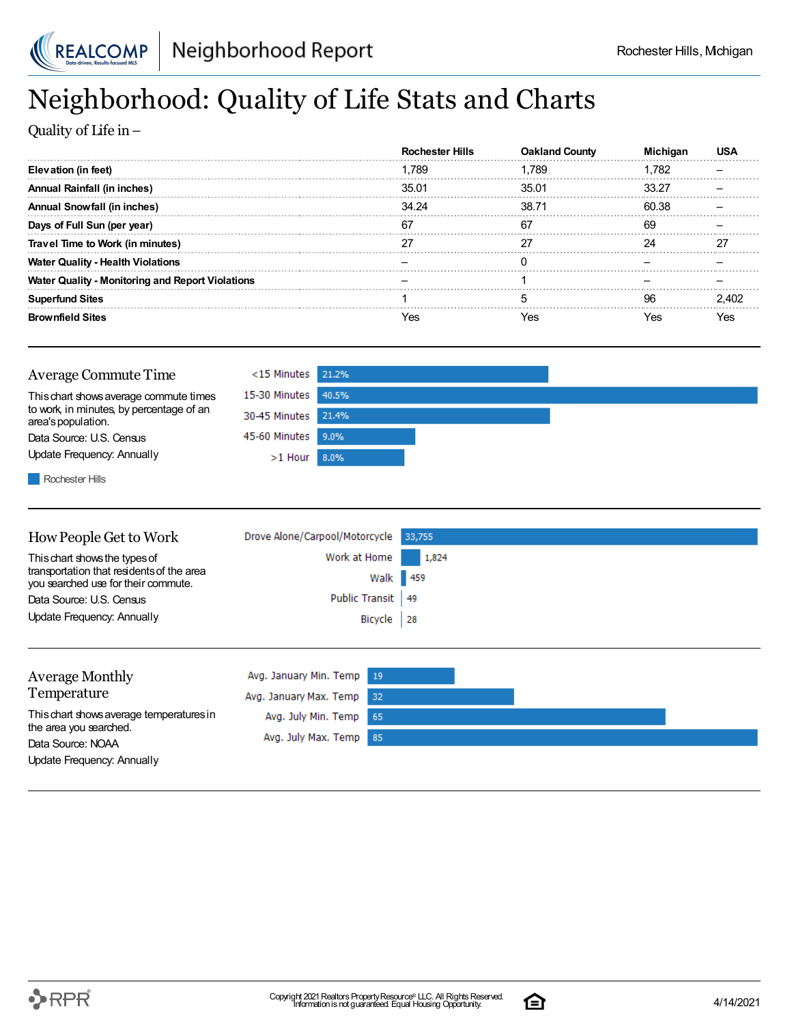

## Neighborhood: Quality of Life Stats and Charts

Quality of Life in–

|                                                         | Hills<br>Rochester | <b>Oakland County</b> |       |    |
|---------------------------------------------------------|--------------------|-----------------------|-------|----|
| Elevation (in feet)                                     | 1.789              | 1.789                 | 1.782 |    |
| Annual Rainfall (in inches)                             | 35.01              | 35.01                 | 33.27 |    |
| Annual Snowfall (in inches)                             | 34.24              | 38.71                 | 60.38 |    |
| Days of Full Sun (per year)                             | 67                 | 67                    |       |    |
| Travel Time to Work (in minutes)                        |                    |                       |       | דמ |
| <b>Water Quality - Health Violations</b>                |                    |                       |       |    |
| <b>Water Quality - Monitoring and Report Violations</b> |                    |                       |       |    |
| <b>Superfund Sites</b>                                  |                    |                       |       |    |
| <b>Brownfield Sites</b>                                 |                    | 7es                   | ΈS    |    |

| Average Commute Time                                           | <15 Minutes 21.2%   |  |
|----------------------------------------------------------------|---------------------|--|
| This chart shows average commute times                         | 15-30 Minutes 40.5% |  |
| to work, in minutes, by percentage of an<br>area's population. | 30-45 Minutes 21.4% |  |
| Data Source: U.S. Census                                       | 45-60 Minutes 9.0%  |  |
| Update Frequency: Annually                                     | $>1$ Hour 8.0%      |  |
|                                                                |                     |  |

**Rochester Hills** 

| How People Get to Work                                                           | Drove Alone/Carpool/Motorcycle 33,755 |       |
|----------------------------------------------------------------------------------|---------------------------------------|-------|
| This chart shows the types of                                                    | Work at Home                          | 1,824 |
| transportation that residents of the area<br>you searched use for their commute. | Walk 459                              |       |
| Data Source: U.S. Census                                                         | Public Transit   49                   |       |
| Update Frequency: Annually                                                       | Bicycle 28                            |       |
|                                                                                  |                                       |       |

| <b>Average Monthly</b>                      | Avg. January Min. Temp 19 |  |
|---------------------------------------------|---------------------------|--|
| Temperature                                 | Avg. January Max. Temp 32 |  |
| This chart shows average temperatures in    | Avg. July Min. Temp 65    |  |
| the area you searched.<br>Data Source: NOAA | Avg. July Max. Temp 85    |  |
| Update Frequency: Annually                  |                           |  |